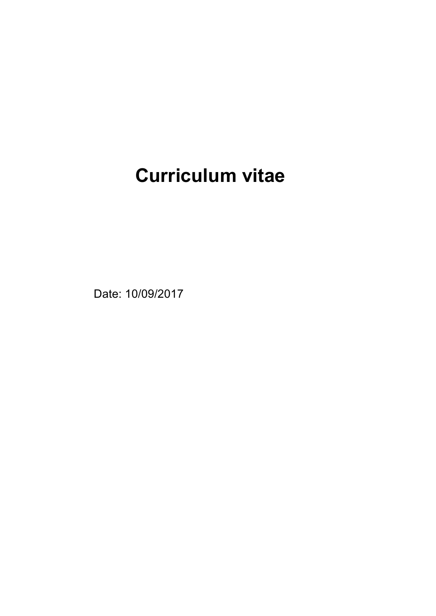# **Curriculum vitae**

Date: 10/09/2017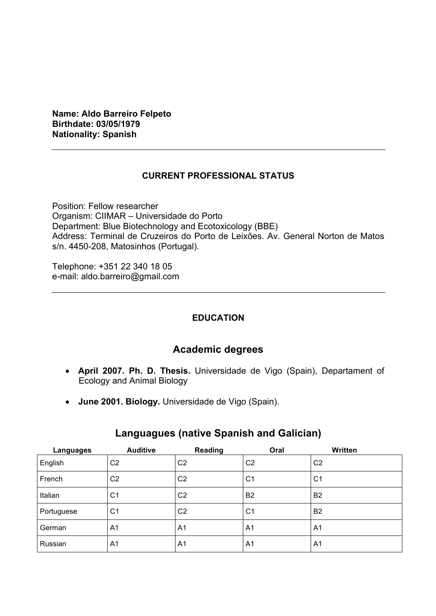**Name: Aldo Barreiro Felpeto Birthdate: 03/05/1979 Nationality: Spanish**

## **CURRENT PROFESSIONAL STATUS**

Position: Fellow researcher Organism: CIIMAR – Universidade do Porto Department: Blue Biotechnology and Ecotoxicology (BBE) Address: Terminal de Cruzeiros do Porto de Leixões. Av. General Norton de Matos s/n. 4450-208, Matosinhos (Portugal).

Telephone: +351 22 340 18 05 e-mail: aldo.barreiro@gmail.com

#### **EDUCATION**

# **Academic degrees**

- **April 2007. Ph. D. Thesis.** Universidade de Vigo (Spain), Departament of Ecology and Animal Biology
- **June 2001. Biology.** Universidade de Vigo (Spain).

| Languages  | <b>Auditive</b> | <b>Reading</b> | Oral           | Written        |
|------------|-----------------|----------------|----------------|----------------|
| English    | C <sub>2</sub>  | C <sub>2</sub> | C <sub>2</sub> | C <sub>2</sub> |
| French     | C <sub>2</sub>  | C <sub>2</sub> | C <sub>1</sub> | C <sub>1</sub> |
| Italian    | C <sub>1</sub>  | C <sub>2</sub> | <b>B2</b>      | <b>B2</b>      |
| Portuguese | C <sub>1</sub>  | C <sub>2</sub> | C <sub>1</sub> | <b>B2</b>      |
| German     | A1              | A1             | A1             | A1             |
| Russian    | A1              | A <sub>1</sub> | A <sub>1</sub> | A <sub>1</sub> |

# **Languagues (native Spanish and Galician)**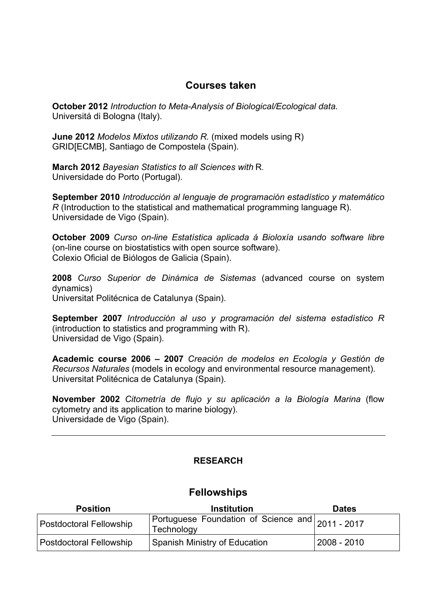# **Courses taken**

**October 2012** *Introduction to Meta-Analysis of Biological/Ecological data.* Universitá di Bologna (Italy).

**June 2012** *Modelos Mixtos utilizando R.* (mixed models using R) GRID[ECMB], Santiago de Compostela (Spain).

**March 2012** *Bayesian Statistics to all Sciences with* R. Universidade do Porto (Portugal).

**September 2010** *Introducción al lenguaje de programación estadístico y matemático R* (Introduction to the statistical and mathematical programming language R). Universidade de Vigo (Spain).

**October 2009** *Curso on-line Estatística aplicada á Bioloxía usando software libre* (on-line course on biostatistics with open source software). Colexio Oficial de Biólogos de Galicia (Spain).

**2008** *Curso Superior de Dinámica de Sistemas* (advanced course on system dynamics) Universitat Politécnica de Catalunya (Spain).

**September 2007** *Introducción al uso y programación del sistema estadístico R* (introduction to statistics and programming with R). Universidad de Vigo (Spain).

**Academic course 2006 – 2007** *Creación de modelos en Ecología y Gestión de Recursos Naturales* (models in ecology and environmental resource management). Universitat Politécnica de Catalunya (Spain).

**November 2002** *Citometría de flujo y su aplicación a la Biología Marina* (flow cytometry and its application to marine biology). Universidade de Vigo (Spain).

## **RESEARCH**

#### **Fellowships**

| <b>Position</b>         | <b>Institution</b>                                             | <b>Dates</b> |
|-------------------------|----------------------------------------------------------------|--------------|
| Postdoctoral Fellowship | Portuguese Foundation of Science and 2011 - 2017<br>Technology |              |
| Postdoctoral Fellowship | Spanish Ministry of Education                                  | 2008 - 2010  |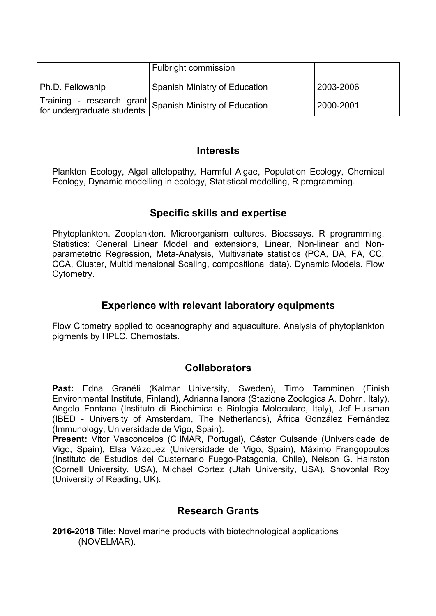|                  | <b>Fulbright commission</b>                                                           |           |
|------------------|---------------------------------------------------------------------------------------|-----------|
| Ph.D. Fellowship | Spanish Ministry of Education                                                         | 2003-2006 |
|                  | Training - research grant<br>for undergraduate students Spanish Ministry of Education | 2000-2001 |

# **Interests**

Plankton Ecology, Algal allelopathy, Harmful Algae, Population Ecology, Chemical Ecology, Dynamic modelling in ecology, Statistical modelling, R programming.

# **Specific skills and expertise**

Phytoplankton. Zooplankton. Microorganism cultures. Bioassays. R programming. Statistics: General Linear Model and extensions, Linear, Non-linear and Nonparametetric Regression, Meta-Analysis, Multivariate statistics (PCA, DA, FA, CC, CCA, Cluster, Multidimensional Scaling, compositional data). Dynamic Models. Flow Cytometry.

# **Experience with relevant laboratory equipments**

Flow Citometry applied to oceanography and aquaculture. Analysis of phytoplankton pigments by HPLC. Chemostats.

# **Collaborators**

**Past:** Edna Granéli (Kalmar University, Sweden), Timo Tamminen (Finish Environmental Institute, Finland), Adrianna Ianora (Stazione Zoologica A. Dohrn, Italy), Angelo Fontana (Instituto di Biochimica e Biologia Moleculare, Italy), Jef Huisman (IBED - University of Amsterdam, The Netherlands), África González Fernández (Immunology, Universidade de Vigo, Spain).

**Present:** Vitor Vasconcelos (CIIMAR, Portugal), Cástor Guisande (Universidade de Vigo, Spain), Elsa Vázquez (Universidade de Vigo, Spain), Máximo Frangopoulos (Instituto de Estudios del Cuaternario Fuego-Patagonia, Chile), Nelson G. Hairston (Cornell University, USA), Michael Cortez (Utah University, USA), Shovonlal Roy (University of Reading, UK).

# **Research Grants**

**2016-2018** Title: Novel marine products with biotechnological applications (NOVELMAR).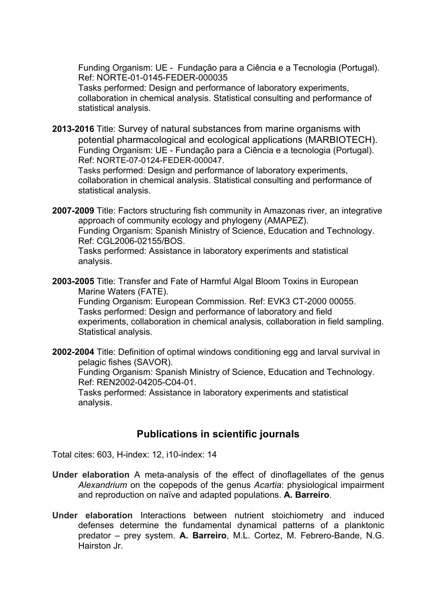Funding Organism: UE - Fundação para a Ciência e a Tecnologia (Portugal). Ref: NORTE-01-0145-FEDER-000035

Tasks performed: Design and performance of laboratory experiments, collaboration in chemical analysis. Statistical consulting and performance of statistical analysis.

**2013-2016** Title: Survey of natural substances from marine organisms with potential pharmacological and ecological applications (MARBIOTECH). Funding Organism: UE - Fundação para a Ciência e a tecnologia (Portugal). Ref: NORTE-07-0124-FEDER-000047.

Tasks performed: Design and performance of laboratory experiments, collaboration in chemical analysis. Statistical consulting and performance of statistical analysis.

**2007-2009** Title: Factors structuring fish community in Amazonas river, an integrative approach of community ecology and phylogeny (AMAPEZ). Funding Organism: Spanish Ministry of Science, Education and Technology. Ref: CGL2006-02155/BOS.

Tasks performed: Assistance in laboratory experiments and statistical analysis.

**2003-2005** Title: Transfer and Fate of Harmful Algal Bloom Toxins in European Marine Waters (FATE).

Funding Organism: European Commission. Ref: EVK3 CT-2000 00055. Tasks performed: Design and performance of laboratory and field experiments, collaboration in chemical analysis, collaboration in field sampling. Statistical analysis.

**2002-2004** Title: Definition of optimal windows conditioning egg and larval survival in pelagic fishes (SAVOR).

Funding Organism: Spanish Ministry of Science, Education and Technology. Ref: REN2002-04205-C04-01.

Tasks performed: Assistance in laboratory experiments and statistical analysis.

# **Publications in scientific journals**

Total cites: 603, H-index: 12, i10-index: 14

- **Under elaboration** A meta-analysis of the effect of dinoflagellates of the genus *Alexandrium* on the copepods of the genus *Acartia*: physiological impairment and reproduction on naïve and adapted populations. **A. Barreiro**.
- **Under elaboration** Interactions between nutrient stoichiometry and induced defenses determine the fundamental dynamical patterns of a planktonic predator – prey system. **A. Barreiro**, M.L. Cortez, M. Febrero-Bande, N.G. Hairston Jr.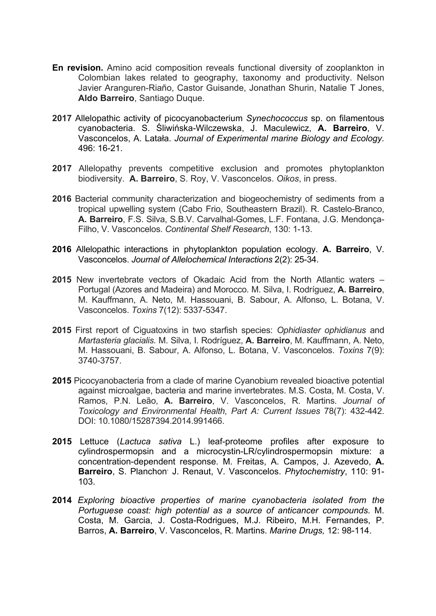- **En revision.** Amino acid composition reveals functional diversity of zooplankton in Colombian lakes related to geography, taxonomy and productivity. Nelson Javier Aranguren-Riaño, Castor Guisande, Jonathan Shurin, Natalie T Jones, **Aldo Barreiro**, Santiago Duque.
- **2017** Allelopathic activity of picocyanobacterium *Synechococcus* sp. on filamentous cyanobacteria. S. Śliwińska-Wilczewska, J. Maculewicz, **A. Barreiro**, V. Vasconcelos, A. Latała. *Journal of Experimental marine Biology and Ecology.* 496: 16-21.
- **2017** Allelopathy prevents competitive exclusion and promotes phytoplankton biodiversity. **A. Barreiro**, S. Roy, V. Vasconcelos. *Oikos*, in press.
- **2016** Bacterial community characterization and biogeochemistry of sediments from a tropical upwelling system (Cabo Frio, Southeastern Brazil). R. Castelo-Branco, **A. Barreiro**, F.S. Silva, S.B.V. Carvalhal-Gomes, L.F. Fontana, J.G. Mendonça-Filho, V. Vasconcelos. *Continental Shelf Research*, 130: 1-13.
- **2016** Allelopathic interactions in phytoplankton population ecology. **A. Barreiro**, V. Vasconcelos. *Journal of Allelochemical Interactions* 2(2): 25-34.
- **2015** New invertebrate vectors of Okadaic Acid from the North Atlantic waters Portugal (Azores and Madeira) and Morocco*.* M. Silva, I. Rodríguez, **A. Barreiro**, M. Kauffmann, A. Neto, M. Hassouani, B. Sabour, A. Alfonso, L. Botana, V. Vasconcelos. *Toxins* 7(12): 5337-5347.
- **2015** First report of Ciguatoxins in two starfish species: *Ophidiaster ophidianus* and *Martasteria glacialis.* M. Silva, I. Rodríguez, **A. Barreiro**, M. Kauffmann, A. Neto, M. Hassouani, B. Sabour, A. Alfonso, L. Botana, V. Vasconcelos. *Toxins* 7(9): 3740-3757.
- **2015** Picocyanobacteria from a clade of marine Cyanobium revealed bioactive potential against microalgae, bacteria and marine invertebrates. M.S. Costa, M. Costa, V. Ramos, P.N. Leão, **A. Barreiro**, V. Vasconcelos, R. Martins. *Journal of Toxicology and Environmental Health, Part A: Current Issues* 78(7): 432-442. DOI: 10.1080/15287394.2014.991466.
- **2015** Lettuce (*Lactuca sativa* L.) leaf-proteome profiles after exposure to cylindrospermopsin and a microcystin-LR/cylindrospermopsin mixture: a concentration-dependent response. M. Freitas, A. Campos, J. Azevedo, **A. Barreiro**, S. Planchon, J. Renaut, V. Vasconcelos. *Phytochemistry*, 110: 91- 103.
- **2014** *Exploring bioactive properties of marine cyanobacteria isolated from the Portuguese coast: high potential as a source of anticancer compounds.* M. Costa, M. Garcia, J. Costa-Rodrigues, M.J. Ribeiro, M.H. Fernandes, P. Barros, **A. Barreiro**, V. Vasconcelos, R. Martins. *Marine Drugs,* 12: 98-114.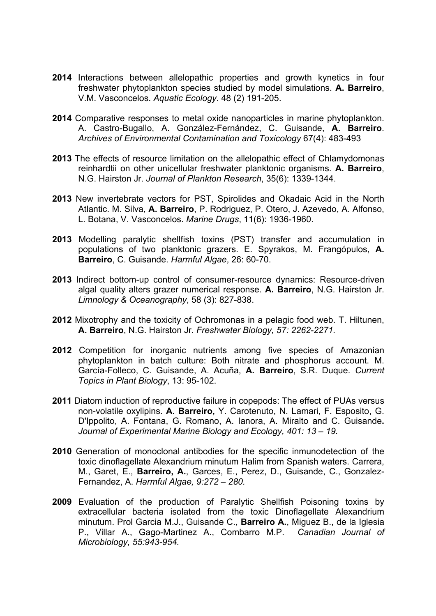- **2014** Interactions between allelopathic properties and growth kynetics in four freshwater phytoplankton species studied by model simulations. **A. Barreiro**, V.M. Vasconcelos. *Aquatic Ecology*. 48 (2) 191-205.
- **2014** Comparative responses to metal oxide nanoparticles in marine phytoplankton. A. Castro-Bugallo, A. González-Fernández, C. Guisande, **A. Barreiro**. *Archives of Environmental Contamination and Toxicology* 67(4): 483-493
- **2013** The effects of resource limitation on the allelopathic effect of Chlamydomonas reinhardtii on other unicellular freshwater planktonic organisms. **A. Barreiro**, N.G. Hairston Jr. *Journal of Plankton Research*, 35(6): 1339-1344.
- **2013** New invertebrate vectors for PST, Spirolides and Okadaic Acid in the North Atlantic. M. Silva, **A. Barreiro**, P. Rodriguez, P. Otero, J. Azevedo, A. Alfonso, L. Botana, V. Vasconcelos. *Marine Drugs*, 11(6): 1936-1960.
- **2013** Modelling paralytic shellfish toxins (PST) transfer and accumulation in populations of two planktonic grazers. E. Spyrakos, M. Frangópulos, **A. Barreiro**, C. Guisande. *Harmful Algae*, 26: 60-70.
- **2013** Indirect bottom-up control of consumer-resource dynamics: Resource-driven algal quality alters grazer numerical response. **A. Barreiro**, N.G. Hairston Jr. *Limnology & Oceanography*, 58 (3): 827-838.
- **2012** Mixotrophy and the toxicity of Ochromonas in a pelagic food web. T. Hiltunen, **A. Barreiro**, N.G. Hairston Jr. *Freshwater Biology, 57: 2262-2271.*
- **2012** Competition for inorganic nutrients among five species of Amazonian phytoplankton in batch culture: Both nitrate and phosphorus account. M. García-Folleco, C. Guisande, A. Acuña, **A. Barreiro**, S.R. Duque. *Current Topics in Plant Biology*, 13: 95-102.
- **2011** Diatom induction of reproductive failure in copepods: The effect of PUAs versus non-volatile oxylipins. **A. Barreiro,** Y. Carotenuto, N. Lamari, F. Esposito, G. D'Ippolito, A. Fontana, G. Romano, A. Ianora, A. Miralto and C. Guisande**.**  *Journal of Experimental Marine Biology and Ecology, 401: 13 – 19.*
- **2010** Generation of monoclonal antibodies for the specific inmunodetection of the toxic dinoflagellate Alexandrium minutum Halim from Spanish waters. Carrera, M., Garet, E., **Barreiro, A.**, Garces, E., Perez, D., Guisande, C., Gonzalez-Fernandez, A. *Harmful Algae, 9:272 – 280.*
- **2009** Evaluation of the production of Paralytic Shellfish Poisoning toxins by extracellular bacteria isolated from the toxic Dinoflagellate Alexandrium minutum. Prol Garcia M.J., Guisande C., **Barreiro A.**, Miguez B., de la Iglesia P., Villar A., Gago-Martinez A., Combarro M.P. *Canadian Journal of Microbiology, 55:943-954.*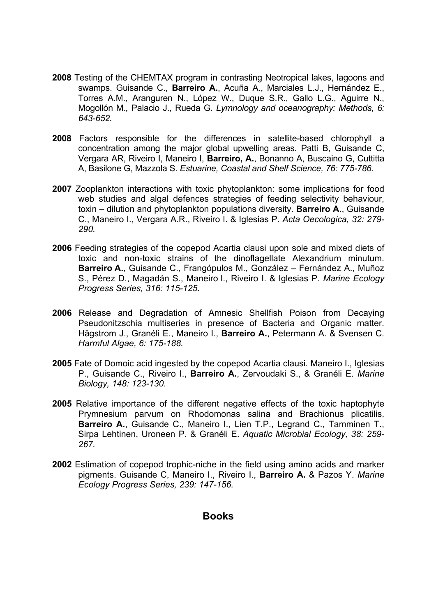- **2008** Testing of the CHEMTAX program in contrasting Neotropical lakes, lagoons and swamps. Guisande C., **Barreiro A.**, Acuña A., Marciales L.J., Hernández E., Torres A.M., Aranguren N., López W., Duque S.R., Gallo L.G., Aguirre N., Mogollón M.*,* Palacio J., Rueda G. *Lymnology and oceanography: Methods, 6: 643-652.*
- **2008** Factors responsible for the differences in satellite-based chlorophyll a concentration among the major global upwelling areas. Patti B, Guisande C, Vergara AR, Riveiro I, Maneiro I, **Barreiro, A.**, Bonanno A, Buscaino G, Cuttitta A, Basilone G, Mazzola S. *Estuarine, Coastal and Shelf Science, 76: 775-786.*
- **2007** Zooplankton interactions with toxic phytoplankton: some implications for food web studies and algal defences strategies of feeding selectivity behaviour, toxin – dilution and phytoplankton populations diversity. **Barreiro A.**, Guisande C., Maneiro I., Vergara A.R., Riveiro I. & Iglesias P. *Acta Oecologica, 32: 279- 290.*
- **2006** Feeding strategies of the copepod Acartia clausi upon sole and mixed diets of toxic and non-toxic strains of the dinoflagellate Alexandrium minutum. **Barreiro A.**, Guisande C., Frangópulos M., González – Fernández A., Muñoz S., Pérez D., Magadán S., Maneiro I., Riveiro I. & Iglesias P. *Marine Ecology Progress Series, 316: 115-125.*
- **2006** Release and Degradation of Amnesic Shellfish Poison from Decaying Pseudonitzschia multiseries in presence of Bacteria and Organic matter. Hägstrom J., Granéli E., Maneiro I., **Barreiro A.**, Petermann A. & Svensen C. *Harmful Algae, 6: 175-188.*
- **2005** Fate of Domoic acid ingested by the copepod Acartia clausi*.* Maneiro I., Iglesias P., Guisande C., Riveiro I., **Barreiro A.**, Zervoudaki S., & Granéli E. *Marine Biology, 148: 123-130.*
- **2005** Relative importance of the different negative effects of the toxic haptophyte Prymnesium parvum on Rhodomonas salina and Brachionus plicatilis. **Barreiro A.**, Guisande C., Maneiro I., Lien T.P., Legrand C., Tamminen T., Sirpa Lehtinen, Uroneen P. & Granéli E. *Aquatic Microbial Ecology, 38: 259- 267.*
- **2002** Estimation of copepod trophic-niche in the field using amino acids and marker pigments. Guisande C, Maneiro I., Riveiro I., **Barreiro A.** & Pazos Y. *Marine Ecology Progress Series, 239: 147-156.*

#### **Books**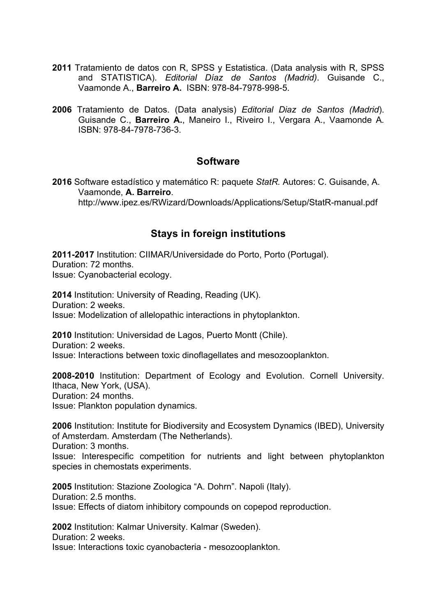- **2011** Tratamiento de datos con R, SPSS y Estatistica. (Data analysis with R, SPSS and STATISTICA). *Editorial Díaz de Santos (Madrid)*. Guisande C., Vaamonde A., **Barreiro A.** ISBN: 978-84-7978-998-5.
- **2006** Tratamiento de Datos. (Data analysis) *Editorial Diaz de Santos (Madrid*). Guisande C., **Barreiro A.**, Maneiro I., Riveiro I., Vergara A., Vaamonde A*.*  ISBN: 978-84-7978-736-3.

# **Software**

**2016** Software estadístico y matemático R: paquete *StatR.* Autores: C. Guisande, A. Vaamonde, **A. Barreiro**. http://www.ipez.es/RWizard/Downloads/Applications/Setup/StatR-manual.pdf

# **Stays in foreign institutions**

**2011-2017** Institution: CIIMAR/Universidade do Porto, Porto (Portugal). Duration: 72 months. Issue: Cyanobacterial ecology.

**2014** Institution: University of Reading, Reading (UK). Duration: 2 weeks. Issue: Modelization of allelopathic interactions in phytoplankton.

**2010** Institution: Universidad de Lagos, Puerto Montt (Chile). Duration: 2 weeks. Issue: Interactions between toxic dinoflagellates and mesozooplankton.

**2008-2010** Institution: Department of Ecology and Evolution. Cornell University. Ithaca, New York, (USA). Duration: 24 months. Issue: Plankton population dynamics.

**2006** Institution: Institute for Biodiversity and Ecosystem Dynamics (IBED), University of Amsterdam. Amsterdam (The Netherlands). Duration: 3 months.

Issue: Interespecific competition for nutrients and light between phytoplankton species in chemostats experiments.

**2005** Institution: Stazione Zoologica "A. Dohrn". Napoli (Italy). Duration: 2.5 months. Issue: Effects of diatom inhibitory compounds on copepod reproduction.

**2002** Institution: Kalmar University. Kalmar (Sweden). Duration: 2 weeks. Issue: Interactions toxic cyanobacteria - mesozooplankton.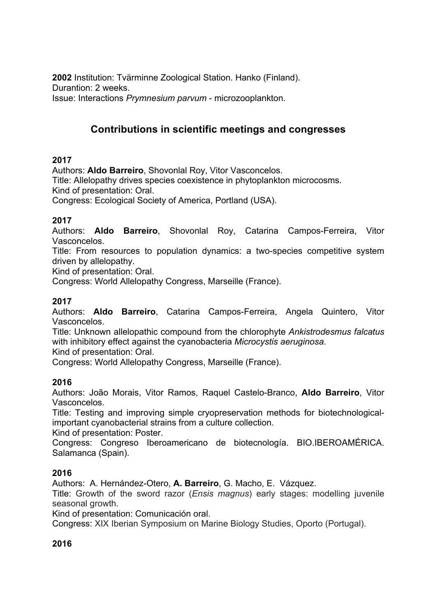**2002** Institution: Tvärminne Zoological Station. Hanko (Finland). Durantion: 2 weeks. Issue: Interactions *Prymnesium parvum* - microzooplankton.

# **Contributions in scientific meetings and congresses**

## **2017**

Authors: **Aldo Barreiro**, Shovonlal Roy, Vitor Vasconcelos.

Title: Allelopathy drives species coexistence in phytoplankton microcosms.

Kind of presentation: Oral.

Congress: Ecological Society of America, Portland (USA).

# **2017**

Authors: **Aldo Barreiro**, Shovonlal Roy, Catarina Campos-Ferreira, Vitor Vasconcelos.

Title: From resources to population dynamics: a two-species competitive system driven by allelopathy.

Kind of presentation: Oral.

Congress: World Allelopathy Congress, Marseille (France).

# **2017**

Authors: **Aldo Barreiro**, Catarina Campos-Ferreira, Angela Quintero, Vitor Vasconcelos.

Title: Unknown allelopathic compound from the chlorophyte *Ankistrodesmus falcatus* with inhibitory effect against the cyanobacteria *Microcystis aeruginosa*.

Kind of presentation: Oral.

Congress: World Allelopathy Congress, Marseille (France).

#### **2016**

Authors: João Morais, Vitor Ramos, Raquel Castelo-Branco, **Aldo Barreiro**, Vitor Vasconcelos.

Title: Testing and improving simple cryopreservation methods for biotechnologicalimportant cyanobacterial strains from a culture collection.

Kind of presentation: Poster.

Congress: Congreso Iberoamericano de biotecnología. BIO.IBEROAMÉRICA. Salamanca (Spain).

#### **2016**

Authors: A. Hernández-Otero, **A. Barreiro**, G. Macho, E. Vázquez.

Title: Growth of the sword razor (*Ensis magnus*) early stages: modelling juvenile seasonal growth.

Kind of presentation: Comunicación oral.

Congress: XIX Iberian Symposium on Marine Biology Studies, Oporto (Portugal).

# **2016**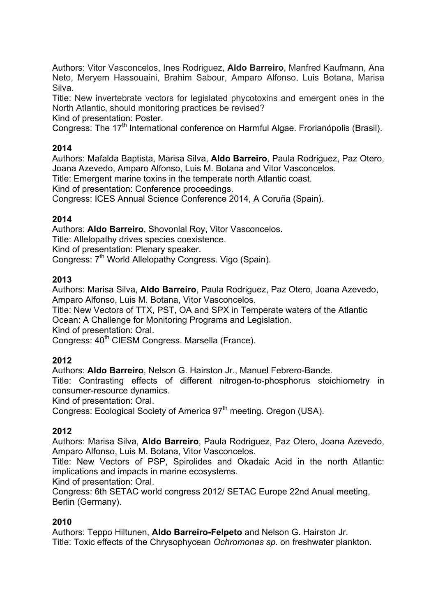Authors: Vitor Vasconcelos, Ines Rodriguez, **Aldo Barreiro**, Manfred Kaufmann, Ana Neto, Meryem Hassouaini, Brahim Sabour, Amparo Alfonso, Luis Botana, Marisa Silva.

Title: New invertebrate vectors for legislated phycotoxins and emergent ones in the North Atlantic, should monitoring practices be revised?

Kind of presentation: Poster.

Congress: The 17<sup>th</sup> International conference on Harmful Algae. Frorianópolis (Brasil).

## **2014**

Authors: Mafalda Baptista, Marisa Silva, **Aldo Barreiro**, Paula Rodriguez, Paz Otero, Joana Azevedo, Amparo Alfonso, Luis M. Botana and Vitor Vasconcelos.

Title: Emergent marine toxins in the temperate north Atlantic coast.

Kind of presentation: Conference proceedings.

Congress: ICES Annual Science Conference 2014, A Coruña (Spain).

#### **2014**

Authors: **Aldo Barreiro**, Shovonlal Roy, Vitor Vasconcelos.

Title: Allelopathy drives species coexistence.

Kind of presentation: Plenary speaker.

Congress: 7<sup>th</sup> World Allelopathy Congress. Vigo (Spain).

#### **2013**

Authors: Marisa Silva, **Aldo Barreiro**, Paula Rodriguez, Paz Otero, Joana Azevedo, Amparo Alfonso, Luis M. Botana, Vitor Vasconcelos.

Title: New Vectors of TTX, PST, OA and SPX in Temperate waters of the Atlantic Ocean: A Challenge for Monitoring Programs and Legislation.

Kind of presentation: Oral.

Congress: 40<sup>th</sup> CIESM Congress. Marsella (France).

# **2012**

Authors: **Aldo Barreiro**, Nelson G. Hairston Jr., Manuel Febrero-Bande.

Title: Contrasting effects of different nitrogen-to-phosphorus stoichiometry in consumer-resource dynamics.

Kind of presentation: Oral.

Congress: Ecological Society of America 97<sup>th</sup> meeting. Oregon (USA).

# **2012**

Authors: Marisa Silva, **Aldo Barreiro**, Paula Rodriguez, Paz Otero, Joana Azevedo, Amparo Alfonso, Luis M. Botana, Vitor Vasconcelos.

Title: New Vectors of PSP, Spirolides and Okadaic Acid in the north Atlantic: implications and impacts in marine ecosystems.

Kind of presentation: Oral.

Congress: 6th SETAC world congress 2012/ SETAC Europe 22nd Anual meeting, Berlin (Germany).

#### **2010**

Authors: Teppo Hiltunen, **Aldo Barreiro-Felpeto** and Nelson G. Hairston Jr. Title: Toxic effects of the Chrysophycean *Ochromonas sp.* on freshwater plankton.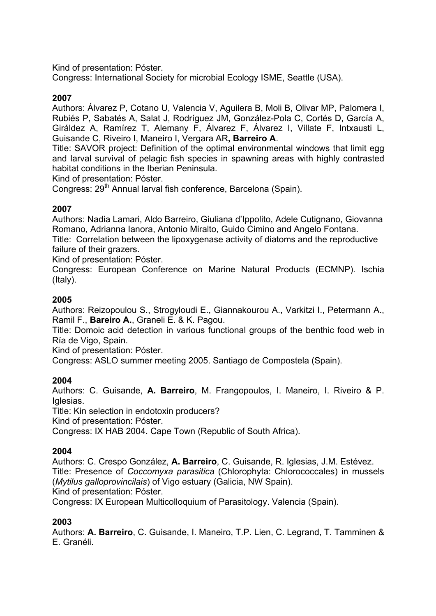Kind of presentation: Póster.

Congress: International Society for microbial Ecology ISME, Seattle (USA).

# **2007**

Authors: Álvarez P, Cotano U, Valencia V, Aguilera B, Moli B, Olivar MP, Palomera I, Rubiés P, Sabatés A, Salat J, Rodríguez JM, González-Pola C, Cortés D, García A, Giráldez A, Ramírez T, Alemany F, Álvarez F, Álvarez I, Villate F, Intxausti L, Guisande C, Riveiro I, Maneiro I, Vergara AR**, Barreiro A**.

Title: SAVOR project: Definition of the optimal environmental windows that limit egg and larval survival of pelagic fish species in spawning areas with highly contrasted habitat conditions in the Iberian Peninsula.

Kind of presentation: Póster.

Congress: 29<sup>th</sup> Annual larval fish conference, Barcelona (Spain).

## **2007**

Authors: Nadia Lamari, Aldo Barreiro, Giuliana d'Ippolito, Adele Cutignano, Giovanna Romano, Adrianna Ianora, Antonio Miralto, Guido Cimino and Angelo Fontana. Title: Correlation between the lipoxygenase activity of diatoms and the reproductive

failure of their grazers.

Kind of presentation: Póster.

Congress: European Conference on Marine Natural Products (ECMNP). Ischia (Italy).

## **2005**

Authors: Reizopoulou S., Strogyloudi E., Giannakourou A., Varkitzi I., Petermann A., Ramil F., **Bareiro A.**, Graneli E. & K. Pagou.

Title: Domoic acid detection in various functional groups of the benthic food web in Ría de Vigo, Spain.

Kind of presentation: Póster.

Congress: ASLO summer meeting 2005. Santiago de Compostela (Spain).

# **2004**

Authors: C. Guisande, **A. Barreiro**, M. Frangopoulos, I. Maneiro, I. Riveiro & P. Iglesias.

Title: Kin selection in endotoxin producers?

Kind of presentation: Póster.

Congress: IX HAB 2004. Cape Town (Republic of South Africa).

# **2004**

Authors: C. Crespo González, **A. Barreiro**, C. Guisande, R. Iglesias, J.M. Estévez. Title: Presence of *Coccomyxa parasitica* (Chlorophyta: Chlorococcales) in mussels (*Mytilus galloprovincilais*) of Vigo estuary (Galicia, NW Spain). Kind of presentation: Póster.

Congress: IX European Multicolloquium of Parasitology. Valencia (Spain).

#### **2003**

Authors: **A. Barreiro**, C. Guisande, I. Maneiro, T.P. Lien, C. Legrand, T. Tamminen & E. Granéli.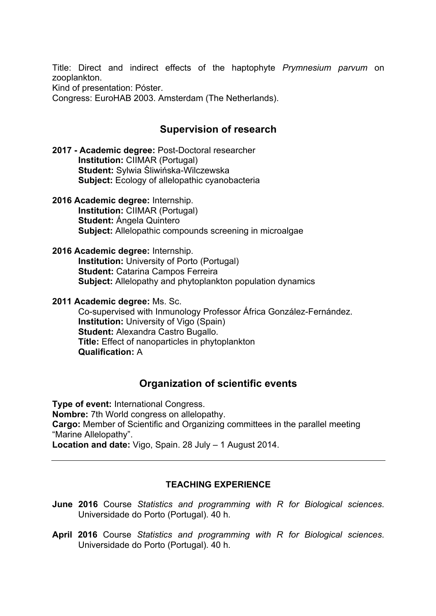Title: Direct and indirect effects of the haptophyte *Prymnesium parvum* on zooplankton.

Kind of presentation: Póster.

Congress: EuroHAB 2003. Amsterdam (The Netherlands).

# **Supervision of research**

**2017 - Academic degree:** Post-Doctoral researcher **Institution:** CIIMAR (Portugal) **Student:** Sylwia Śliwińska-Wilczewska **Subject:** Ecology of allelopathic cyanobacteria

**2016 Academic degree:** Internship. **Institution:** CIIMAR (Portugal) **Student:** Ángela Quintero **Subject:** Allelopathic compounds screening in microalgae

#### **2016 Academic degree:** Internship.

**Institution:** University of Porto (Portugal) **Student:** Catarina Campos Ferreira **Subject:** Allelopathy and phytoplankton population dynamics

#### **2011 Academic degree:** Ms. Sc.

Co-supervised with Inmunology Professor África González-Fernández. **Institution:** University of Vigo (Spain) **Student:** Alexandra Castro Bugallo. **Títle:** Effect of nanoparticles in phytoplankton **Qualification:** A

# **Organization of scientific events**

**Type of event:** International Congress. **Nombre:** 7th World congress on allelopathy. **Cargo:** Member of Scientific and Organizing committees in the parallel meeting "Marine Allelopathy". **Location and date:** Vigo, Spain. 28 July – 1 August 2014.

#### **TEACHING EXPERIENCE**

- **June 2016** Course *Statistics and programming with R for Biological sciences*. Universidade do Porto (Portugal). 40 h.
- **April 2016** Course *Statistics and programming with R for Biological sciences*. Universidade do Porto (Portugal). 40 h.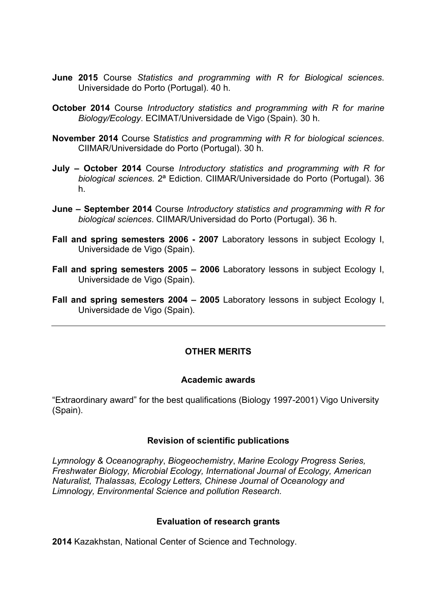- **June 2015** Course *Statistics and programming with R for Biological sciences*. Universidade do Porto (Portugal). 40 h.
- **October 2014** Course *Introductory statistics and programming with R for marine Biology/Ecology*. ECIMAT/Universidade de Vigo (Spain). 30 h.
- **November 2014** Course S*tatistics and programming with R for biological sciences*. CIIMAR/Universidade do Porto (Portugal). 30 h.
- **July – October 2014** Course *Introductory statistics and programming with R for biological sciences.* 2ª Ediction. CIIMAR/Universidade do Porto (Portugal). 36 h.
- **June – September 2014** Course *Introductory statistics and programming with R for biological sciences*. CIIMAR/Universidad do Porto (Portugal). 36 h.
- **Fall and spring semesters 2006 - 2007** Laboratory lessons in subject Ecology I, Universidade de Vigo (Spain).
- **Fall and spring semesters 2005 – 2006** Laboratory lessons in subject Ecology I, Universidade de Vigo (Spain).
- **Fall and spring semesters 2004 – 2005** Laboratory lessons in subject Ecology I, Universidade de Vigo (Spain).

## **OTHER MERITS**

#### **Academic awards**

"Extraordinary award" for the best qualifications (Biology 1997-2001) Vigo University (Spain).

#### **Revision of scientific publications**

*Lymnology & Oceanography*, *Biogeochemistry*, *Marine Ecology Progress Series, Freshwater Biology, Microbial Ecology, International Journal of Ecology, American Naturalist, Thalassas, Ecology Letters, Chinese Journal of Oceanology and Limnology, Environmental Science and pollution Research.*

#### **Evaluation of research grants**

**2014** Kazakhstan, National Center of Science and Technology.